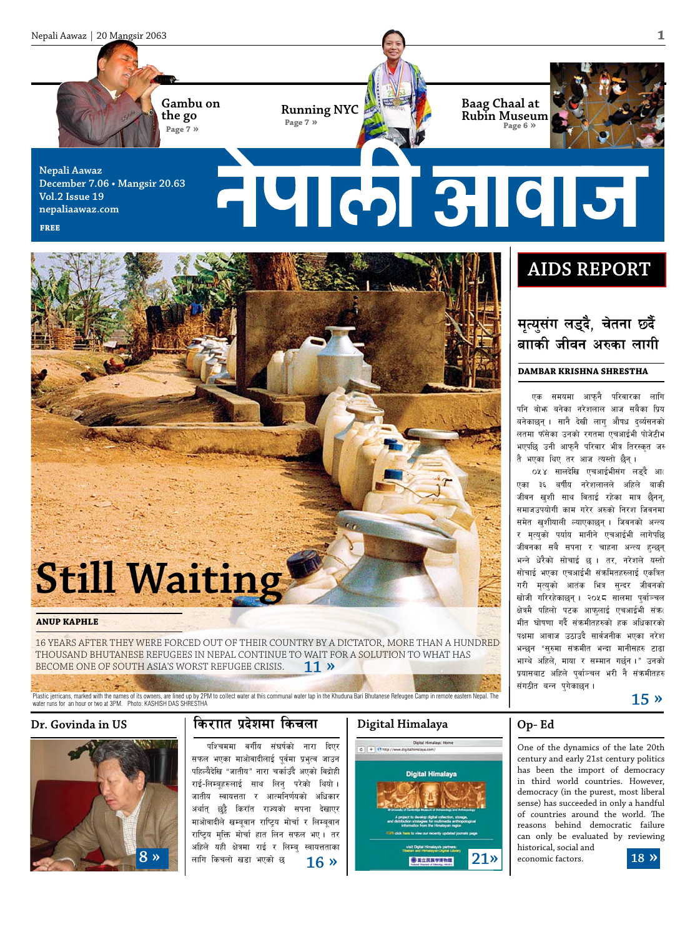

**democracy failed?"**

### जीवन खशी साथ विताई रहेका मात्र छैनन्, समाजउपयोगी काम गरेर अरुको निरश जिवनमा समेत खुशीयाली ल्याएकाछन् । जिवनको अन्त्य र मृत्युको पर्याय मानीने एचआईभी लागेपछि जीवनका सबै सपना र चाहना अन्त्य हुन्छन् भन्ने धेरैको सोचाई छ । तर, नरेशले यस्तो सोचाई भएका एचआईभी संक्रमितहरुलाई एकत्रित गरी मृत्युको आतंक भित्र सुन्दर जीवनक<mark>ो</mark> खोजी गरिरहेकाछन् । २०५८ सालमा पुर्वाञ्चल क्षेत्रमै पहिलो पटक आफुलाई एचआईभी संक्र( मीत घोषणा गर्दै संक्रमीतहरुको हक अधिकारको पक्षमा आवाज उठाउदै सार्वजनीक भएका नरेश भन्छन "सुरुमा संक्रमीत भन्दा मानीसहरु टाढा भाग्थे अहिले, माया र सम्मान गर्छन।" उनको प्रयासबाट अहिले पर्वाञ्चल भरी नै संकमीतहरु संगठीत बन्न पुगेकाछन ।

एका ३६ बर्षीय नरेशलालले अहिले बाकी

Plastic jerricans, marked with the names of its owners, are lined up by 2PM to collect water at this communal water tap in the Khuduna Bari Bhutanese Refeugee Camp in remote eastern Nepal. The

**ANUP KAPHLE**



water runs for an hour or two at 3PM. Photo: KASHISH DAS SHRESTHA

Still Waitin

become one of South Asia's worst refugee crisis. **11 »**

# Dr. Govinda in US **lash life kandi** la<del>dfall</del> and larger lands location in the last of the last  $\frac{1}{2}$

16 YEARS AFTER THEY WERE FORCED OUT OF THEIR COUNTRY BY A DICTATOR, MORE THAN A HUNDRED

thousand Bhutanese refugees in Nepal continue to wait for a solution to what has

पश्चिममा वर्गीय संघर्षको नारा दिएर सफल भएका माओवादीलाई पूर्वमा प्रभुत्व जाउन पहिल्यैदेखि "जातीय" नारा चर्काउँदै अएको विद्रोही राई-लिम्बृहरूलाई साथ लिन् परेको थियो। जातीय स्वायत्तता र आत्मनिर्णयको अधिकार अर्थात् छुट्टै किराँत राज्यको सपना देखाएर माओवादीले खम्बूवान राष्ट्रिय मोर्चा र लिम्बूवान राष्ट्रिय मुक्ति मोर्चा हात लिन सफल भए । तर अहिले यही क्षेत्रमा राई र लिम्बु स्वायत्तताका लागि किचलो खडा भएको छ

# **Digital Himalaya**



**Op- Ed**

One of the dynamics of the late 20th century and early 21st century politics has been the import of democracy in third world countries. However, democracy (in the purest, most liberal sense) has succeeded in only a handful of countries around the world. The reasons behind democratic failure can only be evaluated by reviewing historical, social and economic factors.